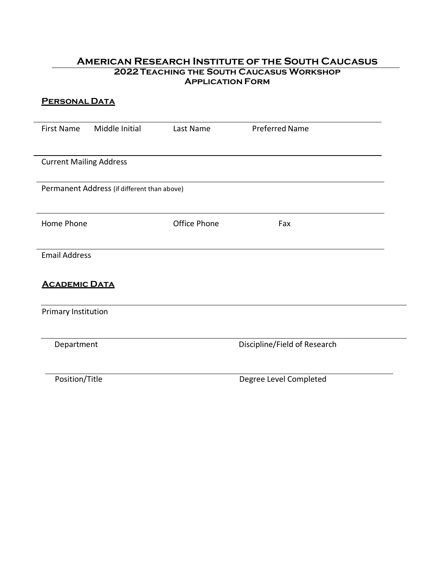# **American Research Institute of the South Caucasus 2022 Teaching the South Caucasus Workshop Application Form**

| <b>PERSONAL DATA</b>           |                                             |              |                              |  |  |
|--------------------------------|---------------------------------------------|--------------|------------------------------|--|--|
| <b>First Name</b>              | Middle Initial                              | Last Name    | <b>Preferred Name</b>        |  |  |
| <b>Current Mailing Address</b> |                                             |              |                              |  |  |
|                                | Permanent Address (if different than above) |              |                              |  |  |
| Home Phone                     |                                             | Office Phone | Fax                          |  |  |
| <b>Email Address</b>           |                                             |              |                              |  |  |
| <b>ACADEMIC DATA</b>           |                                             |              |                              |  |  |
| Primary Institution            |                                             |              |                              |  |  |
| Department                     |                                             |              | Discipline/Field of Research |  |  |
| Position/Title                 |                                             |              | Degree Level Completed       |  |  |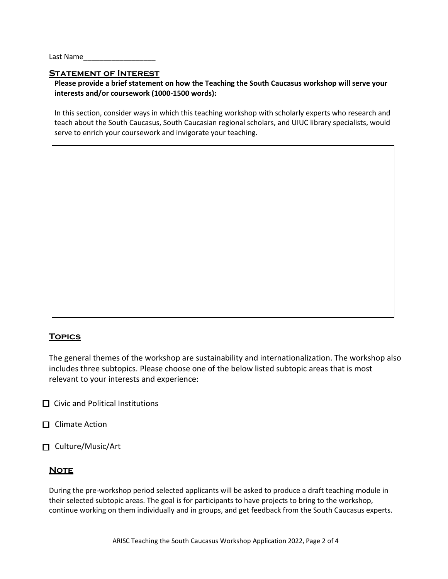Last Name

### **Statement of Interest**

### **Please provide a brief statement on how the Teaching the South Caucasus workshop will serve your interests and/or coursework (1000-1500 words):**

In this section, consider ways in which this teaching workshop with scholarly experts who research and teach about the South Caucasus, South Caucasian regional scholars, and UIUC library specialists, would serve to enrich your coursework and invigorate your teaching.

## **Topics**

The general themes of the workshop are sustainability and internationalization. The workshop also includes three subtopics. Please choose one of the below listed subtopic areas that is most relevant to your interests and experience:

- $\Box$  Civic and Political Institutions
- $\Box$  Climate Action
- □ Culture/Music/Art

## **NOTE**

During the pre-workshop period selected applicants will be asked to produce a draft teaching module in their selected subtopic areas. The goal is for participants to have projects to bring to the workshop, continue working on them individually and in groups, and get feedback from the South Caucasus experts.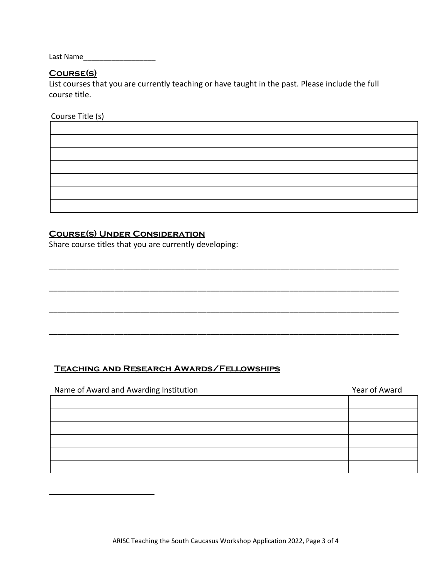Last Name\_\_\_\_\_\_\_\_\_\_\_\_\_\_\_\_\_\_

# **Course(s)**

List courses that you are currently teaching or have taught in the past. Please include the full course title.

Course Title (s)

# **Course(s) Under Consideration**

Share course titles that you are currently developing:

# **Teaching and Research Awards/Fellowships**

| Name of Award and Awarding Institution | Year of Award |  |
|----------------------------------------|---------------|--|
|                                        |               |  |
|                                        |               |  |
|                                        |               |  |
|                                        |               |  |
|                                        |               |  |
|                                        |               |  |

\_\_\_\_\_\_\_\_\_\_\_\_\_\_\_\_\_\_\_\_\_\_\_\_\_\_\_\_\_\_\_\_\_\_\_\_\_\_\_\_\_\_\_\_\_\_\_\_\_\_\_\_\_\_\_\_\_\_\_\_\_\_\_\_\_\_\_\_\_\_\_\_\_\_\_\_\_\_\_\_

\_\_\_\_\_\_\_\_\_\_\_\_\_\_\_\_\_\_\_\_\_\_\_\_\_\_\_\_\_\_\_\_\_\_\_\_\_\_\_\_\_\_\_\_\_\_\_\_\_\_\_\_\_\_\_\_\_\_\_\_\_\_\_\_\_\_\_\_\_\_\_\_\_\_\_\_\_\_\_\_

\_\_\_\_\_\_\_\_\_\_\_\_\_\_\_\_\_\_\_\_\_\_\_\_\_\_\_\_\_\_\_\_\_\_\_\_\_\_\_\_\_\_\_\_\_\_\_\_\_\_\_\_\_\_\_\_\_\_\_\_\_\_\_\_\_\_\_\_\_\_\_\_\_\_\_\_\_\_\_\_

\_\_\_\_\_\_\_\_\_\_\_\_\_\_\_\_\_\_\_\_\_\_\_\_\_\_\_\_\_\_\_\_\_\_\_\_\_\_\_\_\_\_\_\_\_\_\_\_\_\_\_\_\_\_\_\_\_\_\_\_\_\_\_\_\_\_\_\_\_\_\_\_\_\_\_\_\_\_\_\_